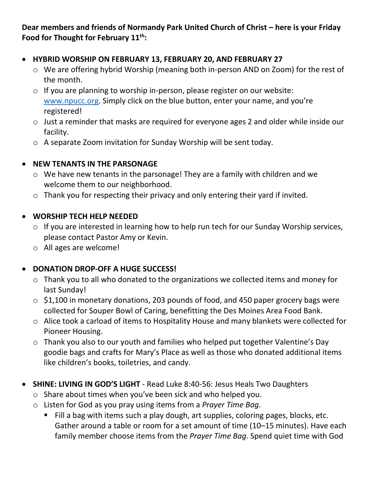**Dear members and friends of Normandy Park United Church of Christ – here is your Friday Food for Thought for February 11th:**

#### • **HYBRID WORSHIP ON FEBRUARY 13, FEBRUARY 20, AND FEBRUARY 27**

- o We are offering hybrid Worship (meaning both in-person AND on Zoom) for the rest of the month.
- o If you are planning to worship in-person, please register on our website: [www.npucc.org.](http://www.npucc.org/) Simply click on the blue button, enter your name, and you're registered!
- o Just a reminder that masks are required for everyone ages 2 and older while inside our facility.
- o A separate Zoom invitation for Sunday Worship will be sent today.

### • **NEW TENANTS IN THE PARSONAGE**

- o We have new tenants in the parsonage! They are a family with children and we welcome them to our neighborhood.
- o Thank you for respecting their privacy and only entering their yard if invited.

### • **WORSHIP TECH HELP NEEDED**

- o If you are interested in learning how to help run tech for our Sunday Worship services, please contact Pastor Amy or Kevin.
- o All ages are welcome!

## • **DONATION DROP-OFF A HUGE SUCCESS!**

- o Thank you to all who donated to the organizations we collected items and money for last Sunday!
- o \$1,100 in monetary donations, 203 pounds of food, and 450 paper grocery bags were collected for Souper Bowl of Caring, benefitting the Des Moines Area Food Bank.
- o Alice took a carload of items to Hospitality House and many blankets were collected for Pioneer Housing.
- o Thank you also to our youth and families who helped put together Valentine's Day goodie bags and crafts for Mary's Place as well as those who donated additional items like children's books, toiletries, and candy.
- **SHINE: LIVING IN GOD'S LIGHT** Read Luke 8:40-56: Jesus Heals Two Daughters
	- o Share about times when you've been sick and who helped you.
	- o Listen for God as you pray using items from a *Prayer Time Bag*.
		- Fill a bag with items such a play dough, art supplies, coloring pages, blocks, etc. Gather around a table or room for a set amount of time (10–15 minutes). Have each family member choose items from the *Prayer Time Bag*. Spend quiet time with God